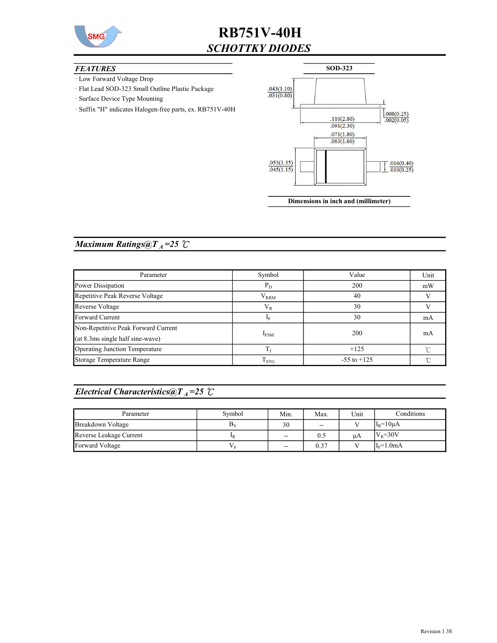

# RB751V-40H SCHOTTKY DIODES

### **FEATURES**

- · Low Forward Voltage Drop
- · Flat Lead SOD-323 Small Outline Plastic Package
- · Surface Device Type Mounting
- · Suffix "H" indicates Halogen-free parts, ex. RB751V-40H



Dimensions in inch and (millimeter)

### Maximum Ratings@ $T_A = 25$   $\degree$ C

| Parameter                           | Symbol              | Value           | Unit |
|-------------------------------------|---------------------|-----------------|------|
| Power Dissipation                   | $P_D$               | 200             | mW   |
| Repetitive Peak Reverse Voltage     | $\rm V_{RRM}$<br>40 |                 |      |
| Reverse Voltage                     | $\rm V_R$           | 30              |      |
| Forward Current                     | 30<br>ĪЕ            |                 | mA   |
| Non-Repetitive Peak Forward Current |                     | 200             | mA   |
| (at 8.3ms single half sine-wave)    | $I_{FSM}$           |                 |      |
| Operating Junction Temperature      | T,                  | $+125$          |      |
| Storage Temperature Range           | $T_{STG}$           | $-55$ to $+125$ |      |

### Electrical Characteristics@T<sub>A</sub>=25  $\mathcal{C}$

| Parameter               | Symbol         | Min.              | Max. | Unit         | Conditions       |
|-------------------------|----------------|-------------------|------|--------------|------------------|
| Breakdown Voltage       | B <sub>v</sub> | 30                | $-$  | $\mathbf{r}$ | $I_R = 10 \mu A$ |
| Reverse Leakage Current | 1R             | $\sim$            | 0.5  | μA           | $V_R = 30V$      |
| Forward Voltage         | VЕ             | $\hspace{0.05cm}$ | 0.37 |              | $I_F=1.0mA$      |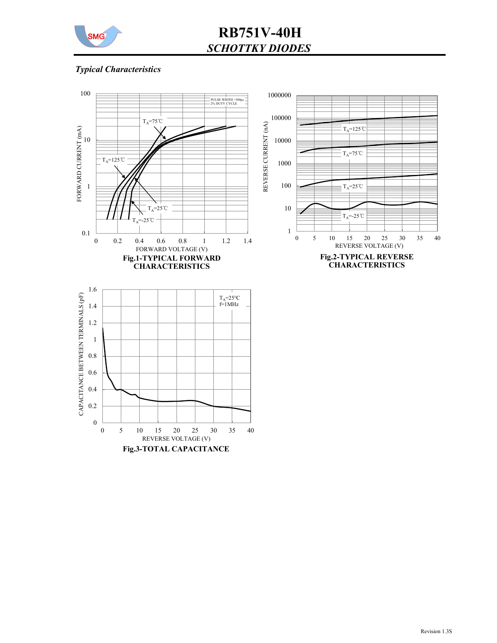

# RB751V-40H SCHOTTKY DIODES

## Typical Characteristics

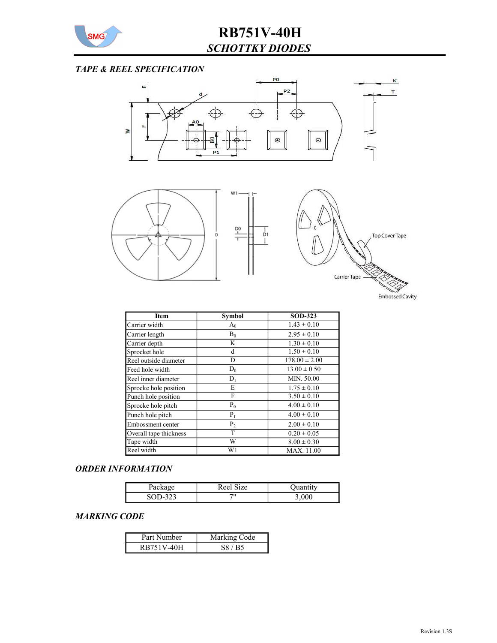

## TAPE & REEL SPECIFICATION



| <b>Item</b>            | <b>Symbol</b>  | <b>SOD-323</b>    |
|------------------------|----------------|-------------------|
| Carrier width          | $A_0$          | $1.43 \pm 0.10$   |
| Carrier length         | $B_0$          | $2.95 \pm 0.10$   |
| Carrier depth          | K              | $1.30 \pm 0.10$   |
| Sprocket hole          | d              | $1.50 \pm 0.10$   |
| Reel outside diameter  | D              | $178.00 \pm 2.00$ |
| Feed hole width        | $D_0$          | $13.00 \pm 0.50$  |
| Reel inner diameter    | $D_1$          | MIN. 50.00        |
| Sprocke hole position  | E              | $1.75 \pm 0.10$   |
| Punch hole position    | F              | $3.50 \pm 0.10$   |
| Sprocke hole pitch     | $P_0$          | $4.00 \pm 0.10$   |
| Punch hole pitch       | $P_1$          | $4.00 \pm 0.10$   |
| Embossment center      | P <sub>2</sub> | $2.00 \pm 0.10$   |
| Overall tape thickness | T              | $0.20 \pm 0.05$   |
| Tape width             | W              | $8.00 \pm 0.30$   |
| Reel width             | W1             | MAX. 11.00        |

#### ORDER INFORMATION

| $\alpha$<br>$   -$ | $\cdot$ size<br>Peer |  |
|--------------------|----------------------|--|
| ຳາາ<br>            | $\cdots$             |  |

### MARKING CODE

| Part Number | Marking Code |  |  |
|-------------|--------------|--|--|
| RB751V-40H  | S8 / B5      |  |  |